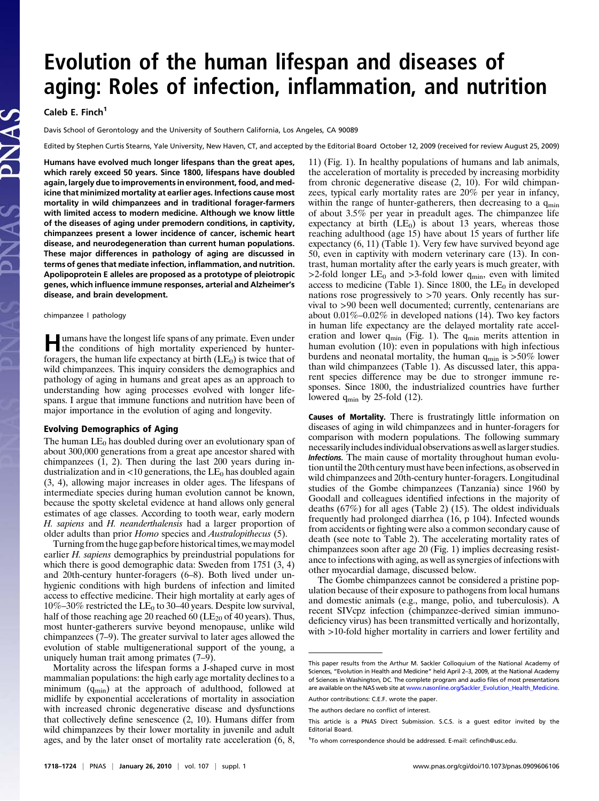# Evolution of the human lifespan and diseases of aging: Roles of infection, inflammation, and nutrition

Caleb E. Finch<sup>1</sup>

Davis School of Gerontology and the University of Southern California, Los Angeles, CA 90089

Edited by Stephen Curtis Stearns, Yale University, New Haven, CT, and accepted by the Editorial Board October 12, 2009 (received for review August 25, 2009)

Humans have evolved much longer lifespans than the great apes, which rarely exceed 50 years. Since 1800, lifespans have doubled again, largely due to improvements in environment, food, and medicine that minimized mortality at earlier ages. Infections cause most mortality in wild chimpanzees and in traditional forager-farmers with limited access to modern medicine. Although we know little of the diseases of aging under premodern conditions, in captivity, chimpanzees present a lower incidence of cancer, ischemic heart disease, and neurodegeneration than current human populations. These major differences in pathology of aging are discussed in terms of genes that mediate infection, inflammation, and nutrition. Apolipoprotein E alleles are proposed as a prototype of pleiotropic genes, which influence immune responses, arterial and Alzheimer's disease, and brain development.

### chimpanzee | pathology

Humans have the longest life spans of any primate. Even under the conditions of high mortality experienced by hunterforagers, the human life expectancy at birth  $(LE_0)$  is twice that of wild chimpanzees. This inquiry considers the demographics and pathology of aging in humans and great apes as an approach to understanding how aging processes evolved with longer lifespans. I argue that immune functions and nutrition have been of major importance in the evolution of aging and longevity.

The human  $LE_0$  has doubled during over an evolutionary span of about 300,000 generations from a great ape ancestor shared with chimpanzees  $(1, 2)$ . Then during the last 200 years during industrialization and in  $\langle 10 \rangle$  generations, the LE<sub>0</sub> has doubled again (3, 4), allowing major increases in older ages. The lifespans of intermediate species during human evolution cannot be known, because the spotty skeletal evidence at hand allows only general estimates of age classes. According to tooth wear, early modern H. sapiens and H. neanderthalensis had a larger proportion of older adults than prior Homo species and Australopithecus (5).

Turning from the huge gap before historical times, we may model earlier H. sapiens demographics by preindustrial populations for which there is good demographic data: Sweden from 1751 (3, 4) and 20th-century hunter-foragers (6–8). Both lived under unhygienic conditions with high burdens of infection and limited access to effective medicine. Their high mortality at early ages of  $10\% - 30\%$  restricted the LE<sub>0</sub> to 30–40 years. Despite low survival, half of those reaching age 20 reached 60 ( $LE_{20}$  of 40 years). Thus, most hunter-gatherers survive beyond menopause, unlike wild chimpanzees (7–9). The greater survival to later ages allowed the evolution of stable multigenerational support of the young, a uniquely human trait among primates (7–9).

Mortality across the lifespan forms a J-shaped curve in most mammalian populations: the high early age mortality declines to a minimum  $(q_{min})$  at the approach of adulthood, followed at midlife by exponential accelerations of mortality in association with increased chronic degenerative disease and dysfunctions that collectively define senescence (2, 10). Humans differ from wild chimpanzees by their lower mortality in juvenile and adult ages, and by the later onset of mortality rate acceleration (6, 8,

11) (Fig. 1). In healthy populations of humans and lab animals, the acceleration of mortality is preceded by increasing morbidity from chronic degenerative disease (2, 10). For wild chimpanzees, typical early mortality rates are 20% per year in infancy, within the range of hunter-gatherers, then decreasing to a q<sub>min</sub> of about 3.5% per year in preadult ages. The chimpanzee life expectancy at birth  $(LE_0)$  is about 13 years, whereas those reaching adulthood (age 15) have about 15 years of further life expectancy (6, 11) (Table 1). Very few have survived beyond age 50, even in captivity with modern veterinary care (13). In contrast, human mortality after the early years is much greater, with >2-fold longer  $LE_0$  and >3-fold lower  $q_{min}$ , even with limited access to medicine (Table 1). Since 1800, the  $LE_0$  in developed nations rose progressively to >70 years. Only recently has survival to >90 been well documented; currently, centenarians are about 0.01%–0.02% in developed nations (14). Two key factors in human life expectancy are the delayed mortality rate acceleration and lower  $q_{min}$  (Fig. 1). The  $q_{min}$  merits attention in human evolution (10): even in populations with high infectious burdens and neonatal mortality, the human  $q_{min}$  is  $>50\%$  lower than wild chimpanzees (Table 1). As discussed later, this apparent species difference may be due to stronger immune responses. Since 1800, the industrialized countries have further lowered  $q_{\text{min}}$  by 25-fold (12).

Causes of Mortality. There is frustratingly little information on diseases of aging in wild chimpanzees and in hunter-foragers for comparison with modern populations. The following summary necessarilyincludesindividual observations aswell aslarger studies. Infections. The main cause of mortality throughout human evolution until the 20th century must have beeninfections, as observed in wild chimpanzees and 20th-century hunter-foragers. Longitudinal studies of the Gombe chimpanzees (Tanzania) since 1960 by Goodall and colleagues identified infections in the majority of deaths (67%) for all ages (Table 2) (15). The oldest individuals frequently had prolonged diarrhea (16, p 104). Infected wounds from accidents or fighting were also a common secondary cause of death (see note to Table 2). The accelerating mortality rates of chimpanzees soon after age 20 (Fig. 1) implies decreasing resistance to infections with aging, as well as synergies of infections with other myocardial damage, discussed below.

The Gombe chimpanzees cannot be considered a pristine population because of their exposure to pathogens from local humans and domestic animals (e.g., mange, polio, and tuberculosis). A recent SIVcpz infection (chimpanzee-derived simian immunodeficiency virus) has been transmitted vertically and horizontally, with >10-fold higher mortality in carriers and lower fertility and

This paper results from the Arthur M. Sackler Colloquium of the National Academy of Sciences, "Evolution in Health and Medicine" held April 2–3, 2009, at the National Academy of Sciences in Washington, DC. The complete program and audio files of most presentations are available on the NAS web site at www.nasonline.org/Sackler\_Evolution\_Health\_Medicine. Author contributions: C.E.F. wrote the paper.

The authors declare no conflict of interest.

This article is a PNAS Direct Submission. S.C.S. is a guest editor invited by the Editorial Board.

<sup>&</sup>lt;sup>1</sup>To whom correspondence should be addressed. E-mail: cefinch@usc.edu.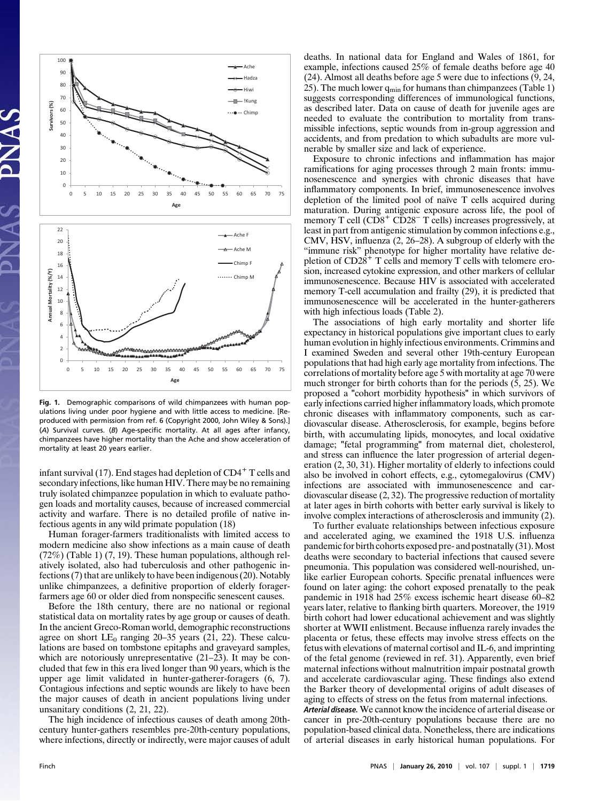

Fig. 1. Demographic comparisons of wild chimpanzees with human populations living under poor hygiene and with little access to medicine. [Reproduced with permission from ref. 6 (Copyright 2000, John Wiley & Sons).] (A) Survival curves. (B) Age-specific mortality. At all ages after infancy, chimpanzees have higher mortality than the Ache and show acceleration of mortality at least 20 years earlier.

infant survival (17). End stages had depletion of  $CD4^+$  T cells and secondary infections, like human HIV. There may be no remaining truly isolated chimpanzee population in which to evaluate pathogen loads and mortality causes, because of increased commercial activity and warfare. There is no detailed profile of native infectious agents in any wild primate population (18)

Human forager-farmers traditionalists with limited access to modern medicine also show infections as a main cause of death (72%) (Table 1) (7, 19). These human populations, although relatively isolated, also had tuberculosis and other pathogenic infections (7) that are unlikely to have been indigenous (20). Notably unlike chimpanzees, a definitive proportion of elderly foragerfarmers age 60 or older died from nonspecific senescent causes.

Before the 18th century, there are no national or regional statistical data on mortality rates by age group or causes of death. In the ancient Greco-Roman world, demographic reconstructions agree on short  $LE_0$  ranging 20–35 years (21, 22). These calculations are based on tombstone epitaphs and graveyard samples, which are notoriously unrepresentative  $(21–23)$ . It may be concluded that few in this era lived longer than 90 years, which is the upper age limit validated in hunter-gatherer-foragers (6, 7). Contagious infections and septic wounds are likely to have been the major causes of death in ancient populations living under unsanitary conditions (2, 21, 22).

The high incidence of infectious causes of death among 20thcentury hunter-gathers resembles pre-20th-century populations, where infections, directly or indirectly, were major causes of adult deaths. In national data for England and Wales of 1861, for example, infections caused 25% of female deaths before age 40 (24). Almost all deaths before age 5 were due to infections (9, 24, 25). The much lower  $q_{\min}$  for humans than chimpanzees (Table 1) suggests corresponding differences of immunological functions, as described later. Data on cause of death for juvenile ages are needed to evaluate the contribution to mortality from transmissible infections, septic wounds from in-group aggression and accidents, and from predation to which subadults are more vulnerable by smaller size and lack of experience.

Exposure to chronic infections and inflammation has major ramifications for aging processes through 2 main fronts: immunosenescence and synergies with chronic diseases that have inflammatory components. In brief, immunosenescence involves depletion of the limited pool of naïve T cells acquired during maturation. During antigenic exposure across life, the pool of memory T cell  $(CD8<sup>+</sup> CD28<sup>-</sup> T$  cells) increases progressively, at least in part from antigenic stimulation by common infections e.g., CMV, HSV, influenza (2, 26–28). A subgroup of elderly with the "immune risk" phenotype for higher mortality have relative depletion of  $CD2\hat{8}^+$  T cells and memory T cells with telomere erosion, increased cytokine expression, and other markers of cellular immunosenescence. Because HIV is associated with accelerated memory T-cell accumulation and frailty (29), it is predicted that immunosenescence will be accelerated in the hunter-gatherers with high infectious loads (Table 2).

The associations of high early mortality and shorter life expectancy in historical populations give important clues to early human evolution in highly infectious environments. Crimmins and I examined Sweden and several other 19th-century European populations that had high early age mortality from infections. The correlations of mortality before age 5 with mortality at age 70 were much stronger for birth cohorts than for the periods (5, 25). We proposed a "cohort morbidity hypothesis" in which survivors of early infections carried higher inflammatory loads, which promote chronic diseases with inflammatory components, such as cardiovascular disease. Atherosclerosis, for example, begins before birth, with accumulating lipids, monocytes, and local oxidative damage; "fetal programming" from maternal diet, cholesterol, and stress can influence the later progression of arterial degeneration (2, 30, 31). Higher mortality of elderly to infections could also be involved in cohort effects, e.g., cytomegalovirus (CMV) infections are associated with immunosenescence and cardiovascular disease (2, 32). The progressive reduction of mortality at later ages in birth cohorts with better early survival is likely to involve complex interactions of atherosclerosis and immunity (2).

To further evaluate relationships between infectious exposure and accelerated aging, we examined the 1918 U.S. influenza pandemic for birth cohorts exposed pre- and postnatally (31). Most deaths were secondary to bacterial infections that caused severe pneumonia. This population was considered well-nourished, unlike earlier European cohorts. Specific prenatal influences were found on later aging: the cohort exposed prenatally to the peak pandemic in 1918 had 25% excess ischemic heart disease 60–82 years later, relative to flanking birth quarters. Moreover, the 1919 birth cohort had lower educational achievement and was slightly shorter at WWII enlistment. Because influenza rarely invades the placenta or fetus, these effects may involve stress effects on the fetus with elevations of maternal cortisol and IL-6, and imprinting of the fetal genome (reviewed in ref. 31). Apparently, even brief maternal infections without malnutrition impair postnatal growth and accelerate cardiovascular aging. These findings also extend the Barker theory of developmental origins of adult diseases of aging to effects of stress on the fetus from maternal infections.

Arterial disease. We cannot know the incidence of arterial disease or cancer in pre-20th-century populations because there are no population-based clinical data. Nonetheless, there are indications of arterial diseases in early historical human populations. For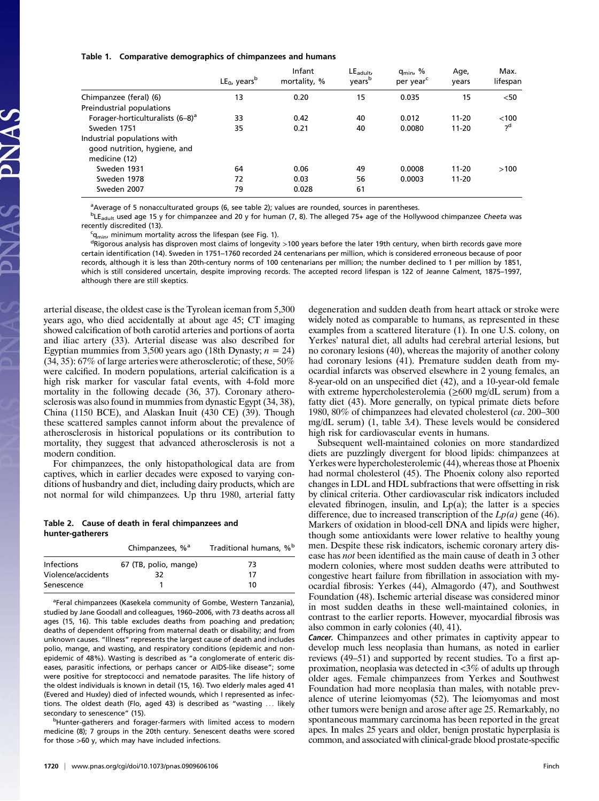#### Table 1. Comparative demographics of chimpanzees and humans

|                                              | $LE_0$ , years <sup>b</sup> | Infant<br>mortality, % | $LE_{\text{adult}}$<br>vears <sup>b</sup> | q <sub>min</sub> , %<br>per year <sup>c</sup> | Age,<br>vears | Max.<br>lifespan |
|----------------------------------------------|-----------------------------|------------------------|-------------------------------------------|-----------------------------------------------|---------------|------------------|
| Chimpanzee (feral) (6)                       | 13                          | 0.20                   | 15                                        | 0.035                                         | 15            | $<$ 50           |
| Preindustrial populations                    |                             |                        |                                           |                                               |               |                  |
| Forager-horticulturalists (6-8) <sup>a</sup> | 33                          | 0.42                   | 40                                        | 0.012                                         | $11-20$       | <100             |
| Sweden 1751                                  | 35                          | 0.21                   | 40                                        | 0.0080                                        | $11 - 20$     | ?q               |
| Industrial populations with                  |                             |                        |                                           |                                               |               |                  |
| good nutrition, hygiene, and                 |                             |                        |                                           |                                               |               |                  |
| medicine (12)                                |                             |                        |                                           |                                               |               |                  |
| Sweden 1931                                  | 64                          | 0.06                   | 49                                        | 0.0008                                        | $11 - 20$     | >100             |
| Sweden 1978                                  | 72                          | 0.03                   | 56                                        | 0.0003                                        | $11 - 20$     |                  |
| Sweden 2007                                  | 79                          | 0.028                  | 61                                        |                                               |               |                  |

<sup>a</sup> Average of 5 nonacculturated groups (6, see table 2); values are rounded, sources in parentheses.

<sup>b</sup>LE<sub>adult</sub> used age 15 y for chimpanzee and 20 y for human (7, 8). The alleged 75+ age of the Hollywood chimpanzee Cheeta was recently discredited (13).

<sup>c</sup>q<sub>min</sub>, minimum mortality across the lifespan (see Fig. 1).<br><sup>d</sup>Rigorous analysis has disproven most claims of longevity

<sup>d</sup>Rigorous analysis has disproven most claims of longevity >100 years before the later 19th century, when birth records gave more certain identification (14). Sweden in 1751–1760 recorded 24 centenarians per million, which is considered erroneous because of poor records, although it is less than 20th-century norms of 100 centenarians per million; the number declined to 1 per million by 1851, which is still considered uncertain, despite improving records. The accepted record lifespan is 122 of Jeanne Calment, 1875–1997, although there are still skeptics.

arterial disease, the oldest case is the Tyrolean iceman from 5,300 years ago, who died accidentally at about age 45; CT imaging showed calcification of both carotid arteries and portions of aorta and iliac artery (33). Arterial disease was also described for Egyptian mummies from 3,500 years ago (18th Dynasty;  $n = 24$ ) (34, 35): 67% of large arteries were atherosclerotic; of these, 50% were calcified. In modern populations, arterial calcification is a high risk marker for vascular fatal events, with 4-fold more mortality in the following decade (36, 37). Coronary atherosclerosis was also found in mummies from dynastic Egypt (34, 38), China (1150 BCE), and Alaskan Inuit (430 CE) (39). Though these scattered samples cannot inform about the prevalence of atherosclerosis in historical populations or its contribution to mortality, they suggest that advanced atherosclerosis is not a modern condition.

For chimpanzees, the only histopathological data are from captives, which in earlier decades were exposed to varying conditions of husbandry and diet, including dairy products, which are not normal for wild chimpanzees. Up thru 1980, arterial fatty

# Table 2. Cause of death in feral chimpanzees and hunter-gatherers

|                    | Chimpanzees, % <sup>a</sup> | Traditional humans, % <sup>b</sup> |  |  |
|--------------------|-----------------------------|------------------------------------|--|--|
| <b>Infections</b>  | 67 (TB, polio, mange)       | 73                                 |  |  |
| Violence/accidents | 32                          | 17                                 |  |  |
| Senescence         |                             | 10                                 |  |  |

<sup>a</sup>Feral chimpanzees (Kasekela community of Gombe, Western Tanzania), studied by Jane Goodall and colleagues, 1960–2006, with 73 deaths across all ages (15, 16). This table excludes deaths from poaching and predation; deaths of dependent offspring from maternal death or disability; and from unknown causes. "Illness" represents the largest cause of death and includes polio, mange, and wasting, and respiratory conditions (epidemic and nonepidemic of 48%). Wasting is described as "a conglomerate of enteric diseases, parasitic infections, or perhaps cancer or AIDS-like disease"; some were positive for streptococci and nematode parasites. The life history of the oldest individuals is known in detail (15, 16). Two elderly males aged 41 (Evered and Huxley) died of infected wounds, which I represented as infections. The oldest death (Flo, aged 43) is described as "wasting ... likely secondary to senescence" (15).

<sup>b</sup>Hunter-gatherers and forager-farmers with limited access to modern medicine (8); 7 groups in the 20th century. Senescent deaths were scored for those >60 y, which may have included infections.

degeneration and sudden death from heart attack or stroke were widely noted as comparable to humans, as represented in these examples from a scattered literature (1). In one U.S. colony, on Yerkes' natural diet, all adults had cerebral arterial lesions, but no coronary lesions (40), whereas the majority of another colony had coronary lesions (41). Premature sudden death from myocardial infarcts was observed elsewhere in 2 young females, an 8-year-old on an unspecified diet (42), and a 10-year-old female with extreme hypercholesterolemia ( $\geq 600$  mg/dL serum) from a fatty diet (43). More generally, on typical primate diets before 1980, 80% of chimpanzees had elevated cholesterol (ca. 200–300 mg/dL serum) (1, table 3A). These levels would be considered high risk for cardiovascular events in humans.

Subsequent well-maintained colonies on more standardized diets are puzzlingly divergent for blood lipids: chimpanzees at Yerkes were hypercholesterolemic (44), whereas those at Phoenix had normal cholesterol (45). The Phoenix colony also reported changes in LDL and HDL subfractions that were offsetting in risk by clinical criteria. Other cardiovascular risk indicators included elevated fibrinogen, insulin, and  $Lp(a)$ ; the latter is a species difference, due to increased transcription of the  $Lp(a)$  gene (46). Markers of oxidation in blood-cell DNA and lipids were higher, though some antioxidants were lower relative to healthy young men. Despite these risk indicators, ischemic coronary artery disease has not been identified as the main cause of death in 3 other modern colonies, where most sudden deaths were attributed to congestive heart failure from fibrillation in association with myocardial fibrosis: Yerkes (44), Almagordo (47), and Southwest Foundation (48). Ischemic arterial disease was considered minor in most sudden deaths in these well-maintained colonies, in contrast to the earlier reports. However, myocardial fibrosis was also common in early colonies (40, 41).

Cancer. Chimpanzees and other primates in captivity appear to develop much less neoplasia than humans, as noted in earlier reviews (49–51) and supported by recent studies. To a first approximation, neoplasia was detected in <3% of adults up through older ages. Female chimpanzees from Yerkes and Southwest Foundation had more neoplasia than males, with notable prevalence of uterine leiomyomas (52). The leiomyomas and most other tumors were benign and arose after age 25. Remarkably, no spontaneous mammary carcinoma has been reported in the great apes. In males 25 years and older, benign prostatic hyperplasia is common, and associated with clinical-grade blood prostate-specific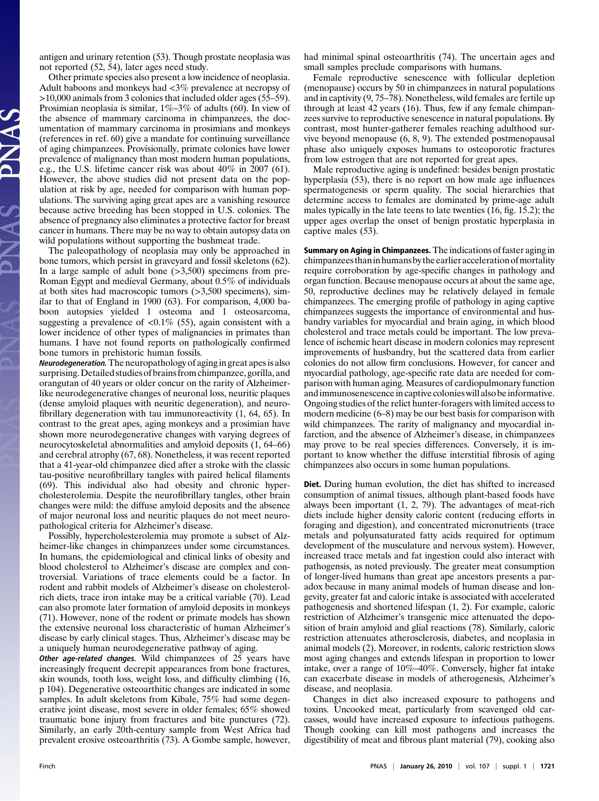antigen and urinary retention (53). Though prostate neoplasia was not reported (52, 54), later ages need study.

Other primate species also present a low incidence of neoplasia. Adult baboons and monkeys had <3% prevalence at necropsy of >10,000 animals from 3 colonies that included older ages (55–59). Prosimian neoplasia is similar,  $1\% - 3\%$  of adults (60). In view of the absence of mammary carcinoma in chimpanzees, the documentation of mammary carcinoma in prosimians and monkeys (references in ref. 60) give a mandate for continuing surveillance of aging chimpanzees. Provisionally, primate colonies have lower prevalence of malignancy than most modern human populations, e.g., the U.S. lifetime cancer risk was about 40% in 2007 (61). However, the above studies did not present data on the population at risk by age, needed for comparison with human populations. The surviving aging great apes are a vanishing resource because active breeding has been stopped in U.S. colonies. The absence of pregnancy also eliminates a protective factor for breast cancer in humans. There may be no way to obtain autopsy data on wild populations without supporting the bushmeat trade.

The paleopathology of neoplasia may only be approached in bone tumors, which persist in graveyard and fossil skeletons (62). In a large sample of adult bone (>3,500) specimens from pre-Roman Egypt and medieval Germany, about 0.5% of individuals at both sites had macroscopic tumors (>3,500 specimens), similar to that of England in 1900 (63). For comparison, 4,000 baboon autopsies yielded 1 osteoma and 1 osteosarcoma, suggesting a prevalence of  $\langle 0.1\%$  (55), again consistent with a lower incidence of other types of malignancies in primates than humans. I have not found reports on pathologically confirmed bone tumors in prehistoric human fossils.

Neurodegeneration. The neuropathology of aging in great apes is also surprising.Detailed studies of brains from chimpanzee, gorilla, and orangutan of 40 years or older concur on the rarity of Alzheimerlike neurodegenerative changes of neuronal loss, neuritic plaques (dense amyloid plaques with neuritic degeneration), and neurofibrillary degeneration with tau immunoreactivity (1, 64, 65). In contrast to the great apes, aging monkeys and a prosimian have shown more neurodegenerative changes with varying degrees of neurocytoskeletal abnormalities and amyloid deposits (1, 64–66) and cerebral atrophy (67, 68). Nonetheless, it was recent reported that a 41-year-old chimpanzee died after a stroke with the classic tau-positive neurofibrillary tangles with paired helical filaments (69). This individual also had obesity and chronic hypercholesterolemia. Despite the neurofibrillary tangles, other brain changes were mild: the diffuse amyloid deposits and the absence of major neuronal loss and neuritic plaques do not meet neuropathological criteria for Alzheimer's disease.

Possibly, hypercholesterolemia may promote a subset of Alzheimer-like changes in chimpanzees under some circumstances. In humans, the epidemiological and clinical links of obesity and blood cholesterol to Alzheimer's disease are complex and controversial. Variations of trace elements could be a factor. In rodent and rabbit models of Alzheimer's disease on cholesterolrich diets, trace iron intake may be a critical variable (70). Lead can also promote later formation of amyloid deposits in monkeys (71). However, none of the rodent or primate models has shown the extensive neuronal loss characteristic of human Alzheimer's disease by early clinical stages. Thus, Alzheimer's disease may be a uniquely human neurodegenerative pathway of aging.

**Other age-related changes.** Wild chimpanzees of 25 years have increasingly frequent decrepit appearances from bone fractures, skin wounds, tooth loss, weight loss, and difficulty climbing (16, p 104). Degenerative osteoarthitic changes are indicated in some samples. In adult skeletons from Kibale, 75% had some degenerative joint disease, most severe in older females; 65% showed traumatic bone injury from fractures and bite punctures (72). Similarly, an early 20th-century sample from West Africa had prevalent erosive osteoarthritis (73). A Gombe sample, however,

had minimal spinal osteoarthritis (74). The uncertain ages and small samples preclude comparisons with humans.

Female reproductive senescence with follicular depletion (menopause) occurs by 50 in chimpanzees in natural populations and in captivity (9, 75–78). Nonetheless, wild females are fertile up through at least 42 years (16). Thus, few if any female chimpanzees survive to reproductive senescence in natural populations. By contrast, most hunter-gatherer females reaching adulthood survive beyond menopause (6, 8, 9). The extended postmenopausal phase also uniquely exposes humans to osteoporotic fractures from low estrogen that are not reported for great apes.

Male reproductive aging is undefined: besides benign prostatic hyperplasia (53), there is no report on how male age influences spermatogenesis or sperm quality. The social hierarchies that determine access to females are dominated by prime-age adult males typically in the late teens to late twenties (16, fig. 15.2); the upper ages overlap the onset of benign prostatic hyperplasia in captive males (53).

Summary on Aging in Chimpanzees. The indications of faster aging in chimpanzees than in humans by the earlier acceleration of mortality require corroboration by age-specific changes in pathology and organ function. Because menopause occurs at about the same age, 50, reproductive declines may be relatively delayed in female chimpanzees. The emerging profile of pathology in aging captive chimpanzees suggests the importance of environmental and husbandry variables for myocardial and brain aging, in which blood cholesterol and trace metals could be important. The low prevalence of ischemic heart disease in modern colonies may represent improvements of husbandry, but the scattered data from earlier colonies do not allow firm conclusions. However, for cancer and myocardial pathology, age-specific rate data are needed for comparison with human aging. Measures of cardiopulmonary function and immunosenescence in captive colonies will also be informative. Ongoing studies of the relict hunter-foragers with limited access to modern medicine (6–8) may be our best basis for comparison with wild chimpanzees. The rarity of malignancy and myocardial infarction, and the absence of Alzheimer's disease, in chimpanzees may prove to be real species differences. Conversely, it is important to know whether the diffuse interstitial fibrosis of aging chimpanzees also occurs in some human populations.

Diet. During human evolution, the diet has shifted to increased consumption of animal tissues, although plant-based foods have always been important (1, 2, 79). The advantages of meat-rich diets include higher density caloric content (reducing efforts in foraging and digestion), and concentrated micronutrients (trace metals and polyunsaturated fatty acids required for optimum development of the musculature and nervous system). However, increased trace metals and fat ingestion could also interact with pathogensis, as noted previously. The greater meat consumption of longer-lived humans than great ape ancestors presents a paradox because in many animal models of human disease and longevity, greater fat and caloric intake is associated with accelerated pathogenesis and shortened lifespan (1, 2). For example, caloric restriction of Alzheimer's transgenic mice attenuated the deposition of brain amyloid and glial reactions (78). Similarly, caloric restriction attenuates atherosclerosis, diabetes, and neoplasia in animal models (2). Moreover, in rodents, caloric restriction slows most aging changes and extends lifespan in proportion to lower intake, over a range of 10%–40%. Conversely, higher fat intake can exacerbate disease in models of atherogenesis, Alzheimer's disease, and neoplasia.

Changes in diet also increased exposure to pathogens and toxins. Uncooked meat, particularly from scavenged old carcasses, would have increased exposure to infectious pathogens. Though cooking can kill most pathogens and increases the digestibility of meat and fibrous plant material (79), cooking also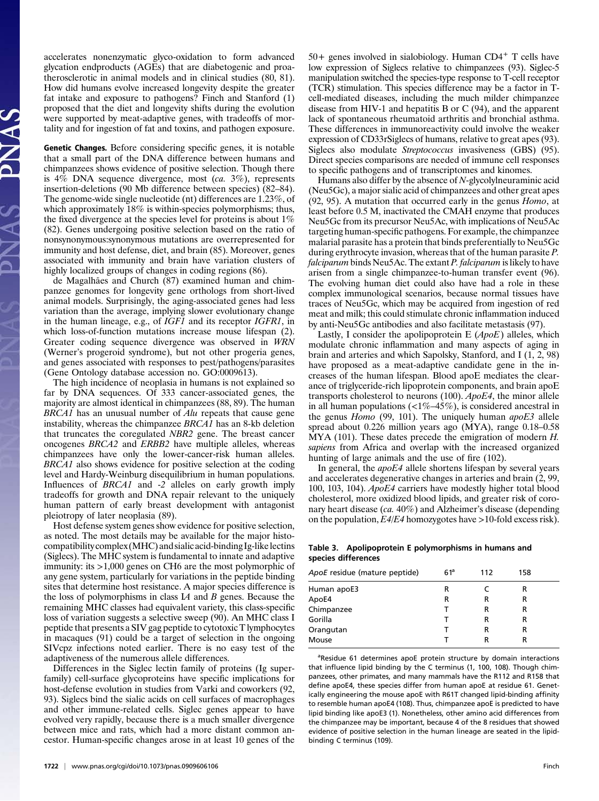accelerates nonenzymatic glyco-oxidation to form advanced glycation endproducts (AGEs) that are diabetogenic and proatherosclerotic in animal models and in clinical studies (80, 81). How did humans evolve increased longevity despite the greater fat intake and exposure to pathogens? Finch and Stanford (1) proposed that the diet and longevity shifts during the evolution were supported by meat-adaptive genes, with tradeoffs of mortality and for ingestion of fat and toxins, and pathogen exposure.

Genetic Changes. Before considering specific genes, it is notable that a small part of the DNA difference between humans and chimpanzees shows evidence of positive selection. Though there is  $4\%$  DNA sequence divergence, most (ca.  $3\%$ ), represents insertion-deletions (90 Mb difference between species) (82–84). The genome-wide single nucleotide (nt) differences are 1.23%, of which approximately 18% is within-species polymorphisms; thus, the fixed divergence at the species level for proteins is about 1% (82). Genes undergoing positive selection based on the ratio of nonsynonymous:synonymous mutations are overrepresented for immunity and host defense, diet, and brain (85). Moreover, genes associated with immunity and brain have variation clusters of highly localized groups of changes in coding regions (86).

de Magalhães and Church (87) examined human and chimpanzee genomes for longevity gene orthologs from short-lived animal models. Surprisingly, the aging-associated genes had less variation than the average, implying slower evolutionary change in the human lineage, e.g., of IGF1 and its receptor IGFR1, in which loss-of-function mutations increase mouse lifespan (2). Greater coding sequence divergence was observed in WRN (Werner's progeroid syndrome), but not other progeria genes, and genes associated with responses to pest/pathogens/parasites (Gene Ontology database accession no. GO:0009613).

The high incidence of neoplasia in humans is not explained so far by DNA sequences. Of 333 cancer-associated genes, the majority are almost identical in chimpanzees (88, 89). The human BRCA1 has an unusual number of Alu repeats that cause gene instability, whereas the chimpanzee BRCA1 has an 8-kb deletion that truncates the coregulated NBR2 gene. The breast cancer oncogenes BRCA2 and ERBB2 have multiple alleles, whereas chimpanzees have only the lower-cancer-risk human alleles. BRCA1 also shows evidence for positive selection at the coding level and Hardy-Weinburg disequilibrium in human populations. Influences of *BRCA1* and -2 alleles on early growth imply tradeoffs for growth and DNA repair relevant to the uniquely human pattern of early breast development with antagonist pleiotropy of later neoplasia (89).

Host defense system genes show evidence for positive selection, as noted. The most details may be available for the major histocompatibility complex (MHC) and sialic acid-binding Ig-like lectins (Siglecs). The MHC system is fundamental to innate and adaptive immunity: its >1,000 genes on CH6 are the most polymorphic of any gene system, particularly for variations in the peptide binding sites that determine host resistance. A major species difference is the loss of polymorphisms in class IA and B genes. Because the remaining MHC classes had equivalent variety, this class-specific loss of variation suggests a selective sweep (90). An MHC class I peptide that presents a SIV gag peptide to cytotoxic T lymphocytes in macaques (91) could be a target of selection in the ongoing SIVcpz infections noted earlier. There is no easy test of the adaptiveness of the numerous allele differences.

Differences in the Siglec lectin family of proteins (Ig superfamily) cell-surface glycoproteins have specific implications for host-defense evolution in studies from Varki and coworkers (92, 93). Siglecs bind the sialic acids on cell surfaces of macrophages and other immune-related cells. Siglec genes appear to have evolved very rapidly, because there is a much smaller divergence between mice and rats, which had a more distant common ancestor. Human-specific changes arose in at least 10 genes of the

 $50+$  genes involved in sialobiology. Human CD4<sup>+</sup> T cells have low expression of Siglecs relative to chimpanzees (93). Siglec-5 manipulation switched the species-type response to T-cell receptor (TCR) stimulation. This species difference may be a factor in Tcell-mediated diseases, including the much milder chimpanzee disease from HIV-1 and hepatitis B or C (94), and the apparent lack of spontaneous rheumatoid arthritis and bronchial asthma. These differences in immunoreactivity could involve the weaker expression of CD33rSiglecs of humans, relative to great apes (93). Siglecs also modulate Streptococcus invasiveness (GBS) (95). Direct species comparisons are needed of immune cell responses to specific pathogens and of transcriptomes and kinomes.

Humans also differ by the absence of N-glycolylneuraminic acid (Neu5Gc), a major sialic acid of chimpanzees and other great apes (92, 95). A mutation that occurred early in the genus Homo, at least before 0.5 M, inactivated the CMAH enzyme that produces Neu5Gc from its precursor Neu5Ac, with implications of Neu5Ac targeting human-specific pathogens. For example, the chimpanzee malarial parasite has a protein that binds preferentially to Neu5Gc during erythrocyte invasion, whereas that of the human parasite P. falciparum binds Neu5Ac. The extant P. falciparum is likely to have arisen from a single chimpanzee-to-human transfer event (96). The evolving human diet could also have had a role in these complex immunological scenarios, because normal tissues have traces of Neu5Gc, which may be acquired from ingestion of red meat and milk; this could stimulate chronic inflammation induced by anti-Neu5Gc antibodies and also facilitate metastasis (97).

Lastly, I consider the apolipoprotein  $E(ApoE)$  alleles, which modulate chronic inflammation and many aspects of aging in brain and arteries and which Sapolsky, Stanford, and I (1, 2, 98) have proposed as a meat-adaptive candidate gene in the increases of the human lifespan. Blood apoE mediates the clearance of triglyceride-rich lipoprotein components, and brain apoE transports cholesterol to neurons (100). ApoE4, the minor allele in all human populations  $\left($  <1%–45%), is considered ancestral in the genus *Homo* (99, 101). The uniquely human *apoE3* allele spread about 0.226 million years ago (MYA), range 0.18–0.58 MYA (101). These dates precede the emigration of modern H. sapiens from Africa and overlap with the increased organized hunting of large animals and the use of fire (102).

In general, the apoE4 allele shortens lifespan by several years and accelerates degenerative changes in arteries and brain (2, 99, 100, 103, 104). ApoE4 carriers have modestly higher total blood cholesterol, more oxidized blood lipids, and greater risk of coronary heart disease (ca. 40%) and Alzheimer's disease (depending on the population,  $E4/E4$  homozygotes have  $>10$ -fold excess risk).

## Table 3. Apolipoprotein E polymorphisms in humans and species differences

| ApoE residue (mature peptide) | $61^a$ | 112 | 158 |  |
|-------------------------------|--------|-----|-----|--|
| Human apoE3                   | R      |     | R   |  |
| ApoE4                         | R      | R   | R   |  |
| Chimpanzee                    |        | R   | R   |  |
| Gorilla                       |        | R   | R   |  |
| Orangutan                     |        | R   | R   |  |
| Mouse                         |        | R   | R   |  |

<sup>a</sup>Residue 61 determines apoE protein structure by domain interactions that influence lipid binding by the C terminus (1, 100, 108). Though chimpanzees, other primates, and many mammals have the R112 and R158 that define apoE4, these species differ from human apoE at residue 61. Genetically engineering the mouse apoE with R61T changed lipid-binding affinity to resemble human apoE4 (108). Thus, chimpanzee apoE is predicted to have lipid binding like apoE3 (1). Nonetheless, other amino acid differences from the chimpanzee may be important, because 4 of the 8 residues that showed evidence of positive selection in the human lineage are seated in the lipidbinding C terminus (109).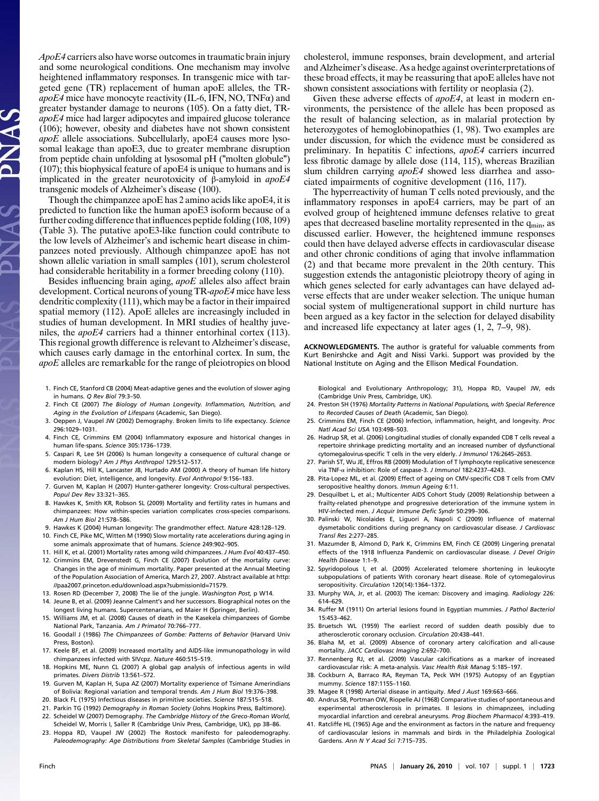ApoE4 carriers also have worse outcomes in traumatic brain injury and some neurological conditions. One mechanism may involve heightened inflammatory responses. In transgenic mice with targeted gene (TR) replacement of human apoE alleles, the TRapoE4 mice have monocyte reactivity (IL-6, IFN, NO, TNF $\alpha$ ) and greater bystander damage to neurons (105). On a fatty diet, TRapoE4 mice had larger adipocytes and impaired glucose tolerance (106); however, obesity and diabetes have not shown consistent apoE allele associations. Subcellularly, apoE4 causes more lysosomal leakage than apoE3, due to greater membrane disruption from peptide chain unfolding at lysosomal pH ("molten globule") (107); this biophysical feature of apoE4 is unique to humans and is implicated in the greater neurotoxicity of β-amyloid in  $a$ *poE4* transgenic models of Alzheimer's disease (100).

Though the chimpanzee apoE has 2 amino acids like apoE4, it is predicted to function like the human apoE3 isoform because of a further coding difference that influences peptide folding (108, 109) (Table 3). The putative apoE3-like function could contribute to the low levels of Alzheimer's and ischemic heart disease in chimpanzees noted previously. Although chimpanzee apoE has not shown allelic variation in small samples (101), serum cholesterol had considerable heritability in a former breeding colony (110).

Besides influencing brain aging, apoE alleles also affect brain development. Cortical neurons of young TR-apoE4 mice have less dendritic complexity (111), which may be a factor in their impaired spatial memory (112). ApoE alleles are increasingly included in studies of human development. In MRI studies of healthy juveniles, the *apoE4* carriers had a thinner entorhinal cortex (113). This regional growth difference is relevant to Alzheimer's disease, which causes early damage in the entorhinal cortex. In sum, the apoE alleles are remarkable for the range of pleiotropies on blood

- 1. Finch CE, Stanford CB (2004) Meat-adaptive genes and the evolution of slower aging in humans. Q Rev Biol 79:3–50.
- 2. Finch CE (2007) The Biology of Human Longevity. Inflammation, Nutrition, and Aging in the Evolution of Lifespans (Academic, San Diego).
- 3. Oeppen J, Vaupel JW (2002) Demography. Broken limits to life expectancy. Science 296:1029–1031.
- 4. Finch CE, Crimmins EM (2004) Inflammatory exposure and historical changes in human life-spans. Science 305:1736–1739.
- 5. Caspari R, Lee SH (2006) Is human longevity a consequence of cultural change or modern biology? Am J Phys Anthropol 129:512–517.
- 6. Kaplan HS, Hill K, Lancaster JB, Hurtado AM (2000) A theory of human life history evolution: Diet, intelligence, and longevity. Evol Anthropol 9:156–183.
- 7. Gurven M, Kaplan H (2007) Hunter-gatherer longevity: Cross-cultural perspectives. Popul Dev Rev 33:321–365.
- 8. Hawkes K, Smith KR, Robson SL (2009) Mortality and fertility rates in humans and chimpanzees: How within-species variation complicates cross-species comparisons. Am J Hum Biol 21:578–586.
- 9. Hawkes K (2004) Human longevity: The grandmother effect. Nature 428:128–129.
- 10. Finch CE, Pike MC, Witten M (1990) Slow mortality rate accelerations during aging in some animals approximate that of humans. Science 249:902–905.
- 11. Hill K, et al. (2001) Mortality rates among wild chimpanzees. J Hum Evol 40:437–450.
- 12. Crimmins EM, Drevenstedt G, Finch CE (2007) Evolution of the mortality curve: Changes in the age of minimum mortality. Paper presented at the Annual Meeting of the Population Association of America, March 27, 2007. Abstract available at http: //paa2007.princeton.edu/download.aspx?submissionId=71579.
- 13. Rosen RD (December 7, 2008) The lie of the jungle. Washington Post, p W14.
- 14. Jeune B, et al. (2009) Jeanne Calment's and her successors. Biographical notes on the longest living humans. Supercentenarians, ed Maier H (Springer, Berlin).
- 15. Williams JM, et al. (2008) Causes of death in the Kasekela chimpanzees of Gombe National Park, Tanzania. Am J Primatol 70:766–777.
- 16. Goodall J (1986) The Chimpanzees of Gombe: Patterns of Behavior (Harvard Univ Press, Boston).
- 17. Keele BF, et al. (2009) Increased mortality and AIDS-like immunopathology in wild chimpanzees infected with SIVcpz. Nature 460:515–519.
- 18. Hopkins ME, Nunn CL (2007) A global gap analysis of infectious agents in wild primates. Divers Distrib 13:561–572.
- 19. Gurven M, Kaplan H, Supa AZ (2007) Mortality experience of Tsimane Amerindians of Bolivia: Regional variation and temporal trends. Am J Hum Biol 19:376–398.
- 20. Black FL (1975) Infectious diseases in primitive societies. Science 187:515–518.
- 21. Parkin TG (1992) Demography in Roman Society (Johns Hopkins Press, Baltimore). 22. Scheidel W (2007) Demography. The Cambridge History of the Greco-Roman World,
- Scheidel W, Morris I, Saller R (Cambridge Univ Press, Cambridge, UK), pp 38–86.
- 23. Hoppa RD, Vaupel JW (2002) The Rostock manifesto for paleodemography. Paleodemography: Age Distributions from Skeletal Samples (Cambridge Studies in

cholesterol, immune responses, brain development, and arterial and Alzheimer's disease. As a hedge against overinterpretations of these broad effects, it may be reassuring that apoE alleles have not shown consistent associations with fertility or neoplasia (2).

Given these adverse effects of *apoE4*, at least in modern environments, the persistence of the allele has been proposed as the result of balancing selection, as in malarial protection by heterozygotes of hemoglobinopathies  $(1, 98)$ . Two examples are under discussion, for which the evidence must be considered as preliminary. In hepatitis C infections, apoE4 carriers incurred less fibrotic damage by allele dose (114, 115), whereas Brazilian slum children carrying *apoE4* showed less diarrhea and associated impairments of cognitive development (116, 117).

The hyperreactivity of human T cells noted previously, and the inflammatory responses in apoE4 carriers, may be part of an evolved group of heightened immune defenses relative to great apes that decreased baseline mortality represented in the  $q_{min}$ , as discussed earlier. However, the heightened immune responses could then have delayed adverse effects in cardiovascular disease and other chronic conditions of aging that involve inflammation (2) and that became more prevalent in the 20th century. This suggestion extends the antagonistic pleiotropy theory of aging in which genes selected for early advantages can have delayed adverse effects that are under weaker selection. The unique human social system of multigenerational support in child nurture has been argued as a key factor in the selection for delayed disability and increased life expectancy at later ages (1, 2, 7–9, 98).

ACKNOWLEDGMENTS. The author is grateful for valuable comments from Kurt Benirshcke and Agit and Nissi Varki. Support was provided by the National Institute on Aging and the Ellison Medical Foundation.

Biological and Evolutionary Anthropology; 31), Hoppa RD, Vaupel JW, eds (Cambridge Univ Press, Cambridge, UK).

- 24. Preston SH (1976) Mortality Patterns in National Populations, with Special Reference to Recorded Causes of Death (Academic, San Diego).
- 25. Crimmins EM, Finch CE (2006) Infection, inflammation, height, and longevity. Proc Natl Acad Sci USA 103:498–503.
- 26. Hadrup SR, et al. (2006) Longitudinal studies of clonally expanded CD8 T cells reveal a repertoire shrinkage predicting mortality and an increased number of dysfunctional cytomegalovirus-specific T cells in the very elderly. J Immunol 176:2645-2653.
- 27. Parish ST, Wu JE, Effros RB (2009) Modulation of T lymphocyte replicative senescence via TNF-α inhibition: Role of caspase-3. J Immunol 182:4237–4243.
- 28. Pita-Lopez ML, et al. (2009) Effect of ageing on CMV-specific CD8 T cells from CMV seropositive healthy donors. Immun Ageing 6:11.
- 29. Desquilbet L, et al.; Multicenter AIDS Cohort Study (2009) Relationship between a frailty-related phenotype and progressive deterioration of the immune system in HIV-infected men. J Acquir Immune Defic Syndr 50:299–306.
- 30. Palinski W, Nicolaides E, Liguori A, Napoli C (2009) Influence of maternal dysmetabolic conditions during pregnancy on cardiovascular disease. J Cardiovasc Transl Res 2:277–285.
- 31. Mazumder B, Almond D, Park K, Crimmins EM, Finch CE (2009) Lingering prenatal effects of the 1918 Influenza Pandemic on cardiovascular disease. J Devel Origin Health Disease 1:1–9.
- 32. Spyridopolous I, et al. (2009) Accelerated telomere shortening in leukocyte subpopulations of patients With coronary heart disease. Role of cytomegalovirus seropositivity. Circulation 120(14):1364–1372.
- 33. Murphy WA, Jr, et al. (2003) The iceman: Discovery and imaging. Radiology 226: 614–629.
- 34. Ruffer M (1911) On arterial lesions found in Egyptian mummies. J Pathol Bacteriol 15:453–462.
- 35. Bruetsch WL (1959) The earliest record of sudden death possibly due to atherosclerotic coronary occlusion. Circulation 20:438–441.
- 36. Blaha M, et al. (2009) Absence of coronary artery calcification and all-cause mortality. JACC Cardiovasc Imaging 2:692–700.
- 37. Rennenberg RJ, et al. (2009) Vascular calcifications as a marker of increased cardiovascular risk: A meta-analysis. Vasc Health Risk Manag 5:185–197.
- 38. Cockburn A, Barraco RA, Reyman TA, Peck WH (1975) Autopsy of an Egyptian mummy. Science 187:1155–1160.
- 39. Magee R (1998) Arterial disease in antiquity. Med J Aust 169:663–666.
- 40. Andrus SB, Portman OW, Riopelle AJ (1968) Comparative studies of spontaneous and experimental atherosclerosis in primates. II lesions in chimapnzees, including myocardial infarction and cerebral aneurysms. Prog Biochem Pharmacol 4:393–419.
- 41. Ratcliffe HL (1965) Age and the environment as factors in the nature and frequency of cardiovascular lesions in mammals and birds in the Philadelphia Zoological Gardens. Ann N Y Acad Sci 7:715–735.